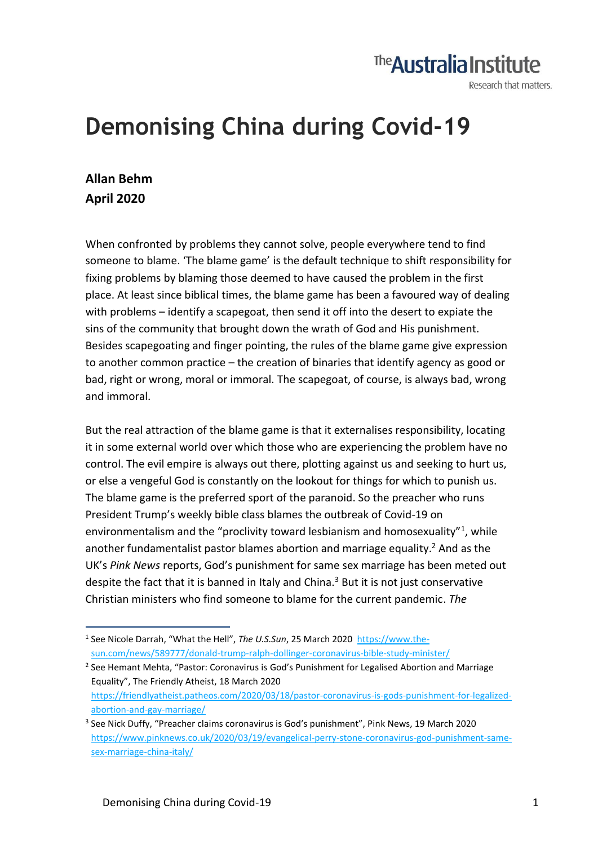## The **Australia Institute**

Research that matters.

## **Demonising China during Covid-19**

## **Allan Behm April 2020**

When confronted by problems they cannot solve, people everywhere tend to find someone to blame. 'The blame game' is the default technique to shift responsibility for fixing problems by blaming those deemed to have caused the problem in the first place. At least since biblical times, the blame game has been a favoured way of dealing with problems – identify a scapegoat, then send it off into the desert to expiate the sins of the community that brought down the wrath of God and His punishment. Besides scapegoating and finger pointing, the rules of the blame game give expression to another common practice – the creation of binaries that identify agency as good or bad, right or wrong, moral or immoral. The scapegoat, of course, is always bad, wrong and immoral.

But the real attraction of the blame game is that it externalises responsibility, locating it in some external world over which those who are experiencing the problem have no control. The evil empire is always out there, plotting against us and seeking to hurt us, or else a vengeful God is constantly on the lookout for things for which to punish us. The blame game is the preferred sport of the paranoid. So the preacher who runs President Trump's weekly bible class blames the outbreak of Covid-19 on environmentalism and the "proclivity toward lesbianism and homosexuality"<sup>1</sup>, while another fundamentalist pastor blames abortion and marriage equality.<sup>2</sup> And as the UK's *Pink News* reports, God's punishment for same sex marriage has been meted out despite the fact that it is banned in Italy and China. $3$  But it is not just conservative Christian ministers who find someone to blame for the current pandemic. *The* 

<sup>2</sup> See Hemant Mehta, "Pastor: Coronavirus is God's Punishment for Legalised Abortion and Marriage Equality", The Friendly Atheist, 18 March 2020 [https://friendlyatheist.patheos.com/2020/03/18/pastor-coronavirus-is-gods-punishment-for-legalized](https://friendlyatheist.patheos.com/2020/03/18/pastor-coronavirus-is-gods-punishment-for-legalized-abortion-and-gay-marriage/)[abortion-and-gay-marriage/](https://friendlyatheist.patheos.com/2020/03/18/pastor-coronavirus-is-gods-punishment-for-legalized-abortion-and-gay-marriage/)

<sup>&</sup>lt;sup>1</sup> See Nicole Darrah, "What the Hell", *The U.S.Sun*, 25 March 2020 [https://www.the](https://www.the-sun.com/news/589777/donald-trump-ralph-dollinger-coronavirus-bible-study-minister/)[sun.com/news/589777/donald-trump-ralph-dollinger-coronavirus-bible-study-minister/](https://www.the-sun.com/news/589777/donald-trump-ralph-dollinger-coronavirus-bible-study-minister/)

<sup>&</sup>lt;sup>3</sup> See Nick Duffy, "Preacher claims coronavirus is God's punishment", Pink News, 19 March 2020 [https://www.pinknews.co.uk/2020/03/19/evangelical-perry-stone-coronavirus-god-punishment-same](https://www.pinknews.co.uk/2020/03/19/evangelical-perry-stone-coronavirus-god-punishment-same-sex-marriage-china-italy/)[sex-marriage-china-italy/](https://www.pinknews.co.uk/2020/03/19/evangelical-perry-stone-coronavirus-god-punishment-same-sex-marriage-china-italy/)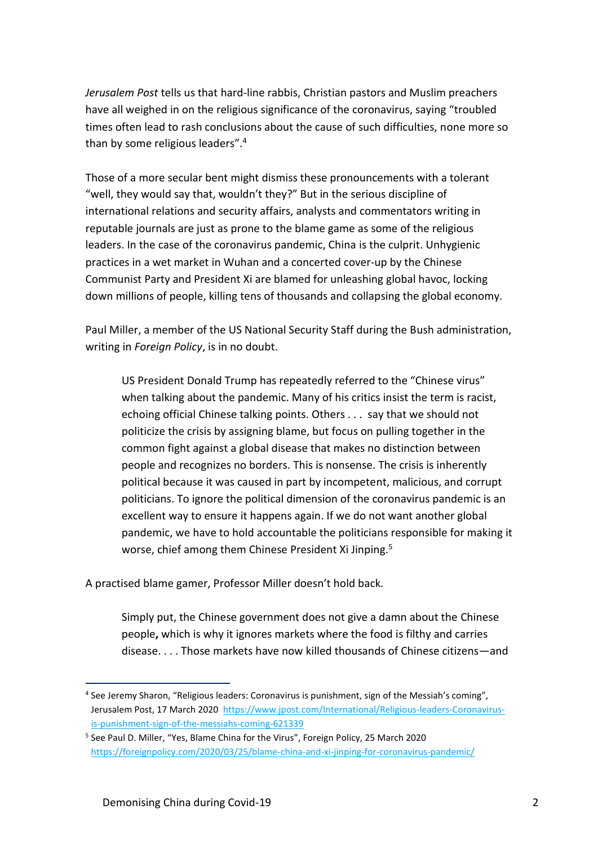*Jerusalem Post* tells us that hard-line rabbis, Christian pastors and Muslim preachers have all weighed in on the religious significance of the coronavirus, saying "troubled times often lead to rash conclusions about the cause of such difficulties, none more so than by some religious leaders".<sup>4</sup>

Those of a more secular bent might dismiss these pronouncements with a tolerant "well, they would say that, wouldn't they?" But in the serious discipline of international relations and security affairs, analysts and commentators writing in reputable journals are just as prone to the blame game as some of the religious leaders. In the case of the coronavirus pandemic, China is the culprit. Unhygienic practices in a wet market in Wuhan and a concerted cover-up by the Chinese Communist Party and President Xi are blamed for unleashing global havoc, locking down millions of people, killing tens of thousands and collapsing the global economy.

Paul Miller, a member of the US National Security Staff during the Bush administration, writing in *Foreign Policy*, is in no doubt.

US President Donald Trump has repeatedly referred to the "Chinese virus" when talking about the pandemic. Many of his critics insist the term is racist, echoing official Chinese talking points. Others . . . say that we should not politicize the crisis by assigning blame, but focus on pulling together in the common fight against a global disease that makes no distinction between people and recognizes no borders. This is nonsense. The crisis is inherently political because it was caused in part by incompetent, malicious, and corrupt politicians. To ignore the political dimension of the coronavirus pandemic is an excellent way to ensure it happens again. If we do not want another global pandemic, we have to hold accountable the politicians responsible for making it worse, chief among them Chinese President Xi Jinping.<sup>5</sup>

A practised blame gamer, Professor Miller doesn't hold back.

Simply put, the Chinese government does not give a damn about the Chinese people**,** which is why it ignores markets where the food is filthy and carries disease. . . . Those markets have now killed thousands of Chinese citizens—and

<sup>&</sup>lt;sup>4</sup> See Jeremy Sharon, "Religious leaders: Coronavirus is punishment, sign of the Messiah's coming", Jerusalem Post, 17 March 2020 [https://www.jpost.com/International/Religious-leaders-Coronavirus](https://www.jpost.com/International/Religious-leaders-Coronavirus-is-punishment-sign-of-the-messiahs-coming-621339)[is-punishment-sign-of-the-messiahs-coming-621339](https://www.jpost.com/International/Religious-leaders-Coronavirus-is-punishment-sign-of-the-messiahs-coming-621339)

<sup>&</sup>lt;sup>5</sup> See Paul D. Miller, "Yes, Blame China for the Virus", Foreign Policy, 25 March 2020 <https://foreignpolicy.com/2020/03/25/blame-china-and-xi-jinping-for-coronavirus-pandemic/>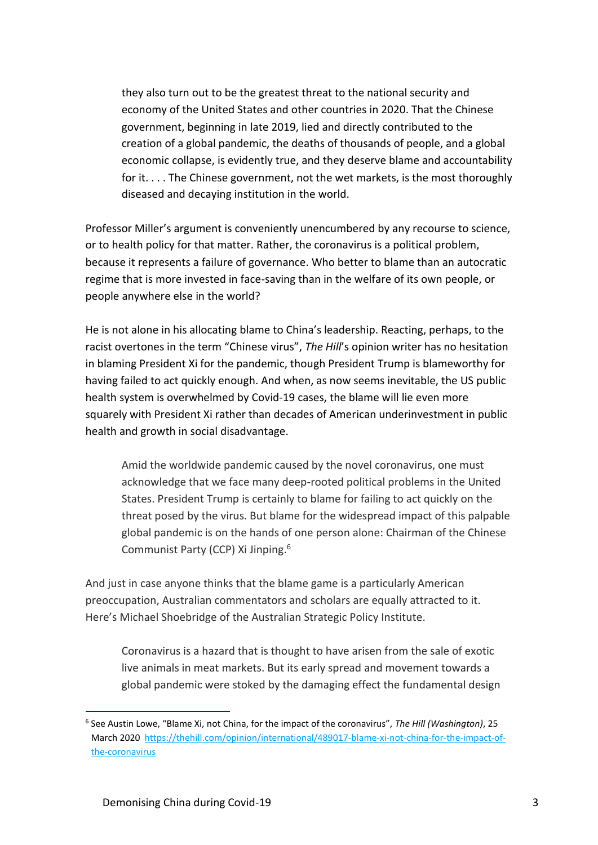they also turn out to be the greatest threat to the national security and economy of the United States and other countries in 2020. That the Chinese government, beginning in late 2019, lied and directly contributed to the creation of a global pandemic, the deaths of thousands of people, and a global economic collapse, is evidently true, and they deserve blame and accountability for it. . . . The Chinese government, not the wet markets, is the most thoroughly diseased and decaying institution in the world.

Professor Miller's argument is conveniently unencumbered by any recourse to science, or to health policy for that matter. Rather, the coronavirus is a political problem, because it represents a failure of governance. Who better to blame than an autocratic regime that is more invested in face-saving than in the welfare of its own people, or people anywhere else in the world?

He is not alone in his allocating blame to China's leadership. Reacting, perhaps, to the racist overtones in the term "Chinese virus", *The Hill*'s opinion writer has no hesitation in blaming President Xi for the pandemic, though President Trump is blameworthy for having failed to act quickly enough. And when, as now seems inevitable, the US public health system is overwhelmed by Covid-19 cases, the blame will lie even more squarely with President Xi rather than decades of American underinvestment in public health and growth in social disadvantage.

Amid the worldwide pandemic caused by the novel coronavirus, one must acknowledge that we face many deep-rooted political problems in the United States. [President Trump](https://thehill.com/people/donald-trump) is certainly to blame for [failing to act quickly](https://www.nytimes.com/2020/03/19/opinion/trump-coronavirus-us.html) on the threat posed by the virus. But blame for the widespread impact of this palpable global pandemic is on the hands of one person alone: Chairman of the Chinese Communist Party (CCP) Xi Jinping.<sup>6</sup>

And just in case anyone thinks that the blame game is a particularly American preoccupation, Australian commentators and scholars are equally attracted to it. Here's Michael Shoebridge of the Australian Strategic Policy Institute.

Coronavirus is a hazard that is thought to have arisen from the sale of exotic live animals in meat markets. But its early spread and movement towards a global pandemic were stoked by the damaging effect the fundamental design

<sup>6</sup> See Austin Lowe, "Blame Xi, not China, for the impact of the coronavirus", *The Hill (Washington)*, 25 March 2020 [https://thehill.com/opinion/international/489017-blame-xi-not-china-for-the-impact-of](https://thehill.com/opinion/international/489017-blame-xi-not-china-for-the-impact-of-the-coronavirus)[the-coronavirus](https://thehill.com/opinion/international/489017-blame-xi-not-china-for-the-impact-of-the-coronavirus)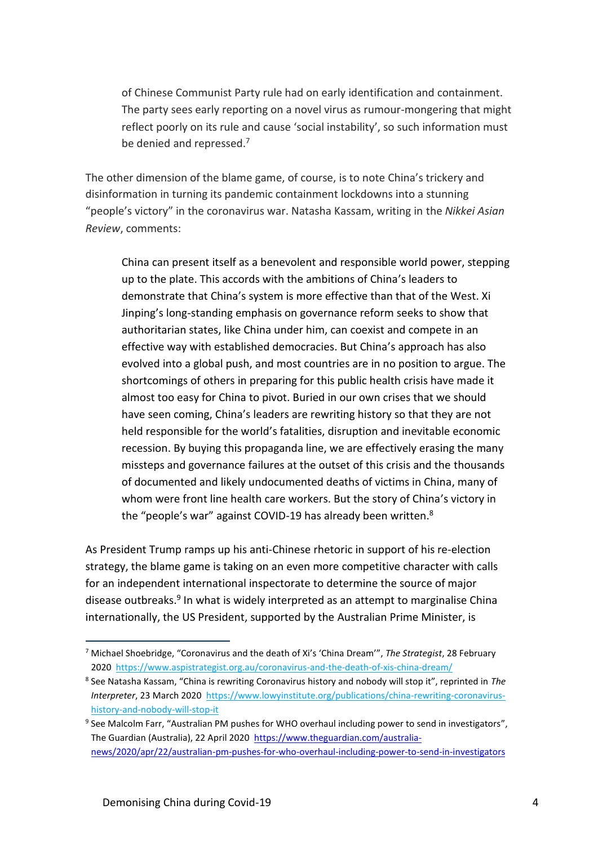of Chinese Communist Party rule had on early identification and containment. The party sees early reporting on a novel virus as rumour-mongering that might reflect poorly on its rule and cause 'social instability', so such information must be denied and repressed.<sup>7</sup>

The other dimension of the blame game, of course, is to note China's trickery and disinformation in turning its pandemic containment lockdowns into a stunning "people's victory" in the coronavirus war. Natasha Kassam, writing in the *Nikkei Asian Review*, comments:

China can present itself as a benevolent and responsible world power, stepping up to the plate. This accords with the ambitions of China's leaders to demonstrate that China's system is more effective than that of the West. Xi Jinping's long-standing emphasis on governance reform seeks to show that authoritarian states, like China under him, can coexist and compete in an effective way with established democracies. But China's approach has also evolved into a global push, and most countries are in no position to argue. The shortcomings of others in preparing for this public health crisis have made it almost too easy for China to pivot. Buried in our own crises that we should have seen coming, China's leaders are rewriting history so that they are not held responsible for the world's fatalities, disruption and inevitable economic recession. By buying this propaganda line, we are effectively erasing the many missteps and governance failures at the outset of this crisis and the thousands of documented and likely undocumented deaths of victims in China, many of whom were front line health care workers. But the story of China's victory in the "people's war" against COVID-19 has already been written.<sup>8</sup>

As President Trump ramps up his anti-Chinese rhetoric in support of his re-election strategy, the blame game is taking on an even more competitive character with calls for an independent international inspectorate to determine the source of major disease outbreaks.<sup>9</sup> In what is widely interpreted as an attempt to marginalise China internationally, the US President, supported by the Australian Prime Minister, is

<sup>7</sup> Michael Shoebridge, "Coronavirus and the death of Xi's 'China Dream'", *The Strategist*, 28 February 2020<https://www.aspistrategist.org.au/coronavirus-and-the-death-of-xis-china-dream/>

<sup>8</sup> See Natasha Kassam, "China is rewriting Coronavirus history and nobody will stop it", reprinted in *The Interpreter*, 23 March 2020 [https://www.lowyinstitute.org/publications/china-rewriting-coronavirus](https://www.lowyinstitute.org/publications/china-rewriting-coronavirus-history-and-nobody-will-stop-it)[history-and-nobody-will-stop-it](https://www.lowyinstitute.org/publications/china-rewriting-coronavirus-history-and-nobody-will-stop-it)

<sup>&</sup>lt;sup>9</sup> See Malcolm Farr, "Australian PM pushes for WHO overhaul including power to send in investigators", The Guardian (Australia), 22 April 2020 [https://www.theguardian.com/australia](https://www.theguardian.com/australia-news/2020/apr/22/australian-pm-pushes-for-who-overhaul-including-power-to-send-in-investigators)[news/2020/apr/22/australian-pm-pushes-for-who-overhaul-including-power-to-send-in-investigators](https://www.theguardian.com/australia-news/2020/apr/22/australian-pm-pushes-for-who-overhaul-including-power-to-send-in-investigators)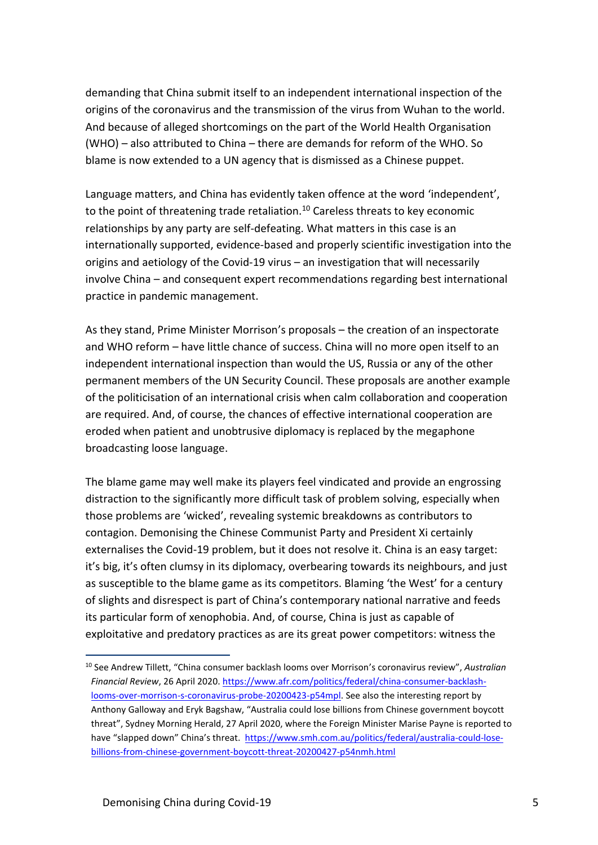demanding that China submit itself to an independent international inspection of the origins of the coronavirus and the transmission of the virus from Wuhan to the world. And because of alleged shortcomings on the part of the World Health Organisation (WHO) – also attributed to China – there are demands for reform of the WHO. So blame is now extended to a UN agency that is dismissed as a Chinese puppet.

Language matters, and China has evidently taken offence at the word 'independent', to the point of threatening trade retaliation.<sup>10</sup> Careless threats to key economic relationships by any party are self-defeating. What matters in this case is an internationally supported, evidence-based and properly scientific investigation into the origins and aetiology of the Covid-19 virus – an investigation that will necessarily involve China – and consequent expert recommendations regarding best international practice in pandemic management.

As they stand, Prime Minister Morrison's proposals – the creation of an inspectorate and WHO reform – have little chance of success. China will no more open itself to an independent international inspection than would the US, Russia or any of the other permanent members of the UN Security Council. These proposals are another example of the politicisation of an international crisis when calm collaboration and cooperation are required. And, of course, the chances of effective international cooperation are eroded when patient and unobtrusive diplomacy is replaced by the megaphone broadcasting loose language.

The blame game may well make its players feel vindicated and provide an engrossing distraction to the significantly more difficult task of problem solving, especially when those problems are 'wicked', revealing systemic breakdowns as contributors to contagion. Demonising the Chinese Communist Party and President Xi certainly externalises the Covid-19 problem, but it does not resolve it. China is an easy target: it's big, it's often clumsy in its diplomacy, overbearing towards its neighbours, and just as susceptible to the blame game as its competitors. Blaming 'the West' for a century of slights and disrespect is part of China's contemporary national narrative and feeds its particular form of xenophobia. And, of course, China is just as capable of exploitative and predatory practices as are its great power competitors: witness the

<sup>10</sup> See Andrew Tillett, "China consumer backlash looms over Morrison's coronavirus review", *Australian Financial Review*, 26 April 2020[. https://www.afr.com/politics/federal/china-consumer-backlash](https://www.afr.com/politics/federal/china-consumer-backlash-looms-over-morrison-s-coronavirus-probe-20200423-p54mpl)[looms-over-morrison-s-coronavirus-probe-20200423-p54mpl.](https://www.afr.com/politics/federal/china-consumer-backlash-looms-over-morrison-s-coronavirus-probe-20200423-p54mpl) See also the interesting report by Anthony Galloway and Eryk Bagshaw, "Australia could lose billions from Chinese government boycott threat", Sydney Morning Herald, 27 April 2020, where the Foreign Minister Marise Payne is reported to have "slapped down" China's threat. [https://www.smh.com.au/politics/federal/australia-could-lose](https://www.smh.com.au/politics/federal/australia-could-lose-billions-from-chinese-government-boycott-threat-20200427-p54nmh.html)[billions-from-chinese-government-boycott-threat-20200427-p54nmh.html](https://www.smh.com.au/politics/federal/australia-could-lose-billions-from-chinese-government-boycott-threat-20200427-p54nmh.html)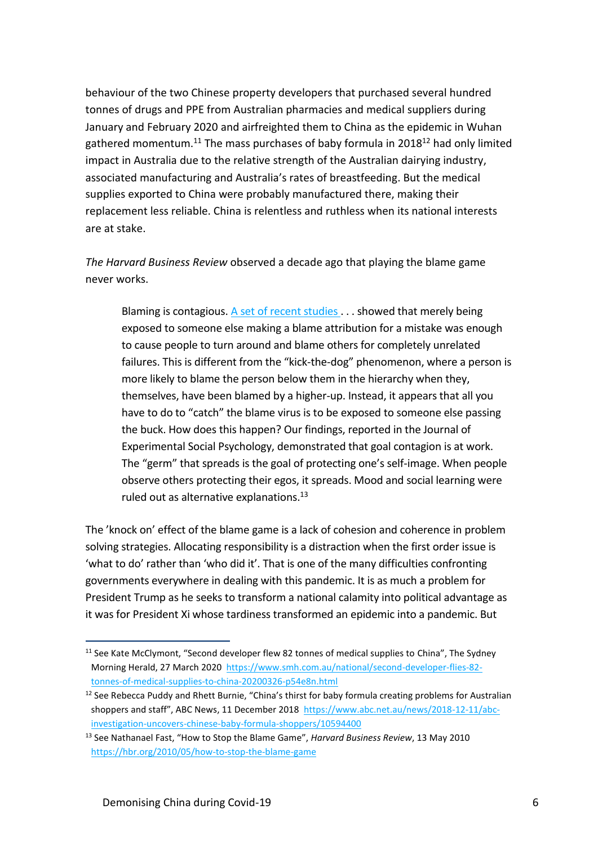behaviour of the two Chinese property developers that purchased several hundred tonnes of drugs and PPE from Australian pharmacies and medical suppliers during January and February 2020 and airfreighted them to China as the epidemic in Wuhan gathered momentum.<sup>11</sup> The mass purchases of baby formula in 2018<sup>12</sup> had only limited impact in Australia due to the relative strength of the Australian dairying industry, associated manufacturing and Australia's rates of breastfeeding. But the medical supplies exported to China were probably manufactured there, making their replacement less reliable. China is relentless and ruthless when its national interests are at stake.

*The Harvard Business Review* observed a decade ago that playing the blame game never works.

Blaming is contagious. [A set of recent studies](http://www.psychologytoday.com/blog/work-matters/201003/blame-is-contagious-except-when-people-have-high-self-worth) . . . showed that merely being exposed to someone else making a blame attribution for a mistake was enough to cause people to turn around and blame others for completely unrelated failures. This is different from the "kick-the-dog" phenomenon, where a person is more likely to blame the person below them in the hierarchy when they, themselves, have been blamed by a higher-up. Instead, it appears that all you have to do to "catch" the blame virus is to be exposed to someone else passing the buck. How does this happen? Our findings, reported in the Journal of Experimental Social Psychology, demonstrated that goal contagion is at work. The "germ" that spreads is the goal of protecting one's self-image. When people observe others protecting their egos, it spreads. Mood and social learning were ruled out as alternative explanations.<sup>13</sup>

The 'knock on' effect of the blame game is a lack of cohesion and coherence in problem solving strategies. Allocating responsibility is a distraction when the first order issue is 'what to do' rather than 'who did it'. That is one of the many difficulties confronting governments everywhere in dealing with this pandemic. It is as much a problem for President Trump as he seeks to transform a national calamity into political advantage as it was for President Xi whose tardiness transformed an epidemic into a pandemic. But

<sup>&</sup>lt;sup>11</sup> See Kate McClymont, "Second developer flew 82 tonnes of medical supplies to China", The Sydney Morning Herald, 27 March 2020 [https://www.smh.com.au/national/second-developer-flies-82](https://www.smh.com.au/national/second-developer-flies-82-tonnes-of-medical-supplies-to-china-20200326-p54e8n.html) [tonnes-of-medical-supplies-to-china-20200326-p54e8n.html](https://www.smh.com.au/national/second-developer-flies-82-tonnes-of-medical-supplies-to-china-20200326-p54e8n.html)

 $12$  See Rebecca Puddy and Rhett Burnie, "China's thirst for baby formula creating problems for Australian shoppers and staff", ABC News, 11 December 2018 [https://www.abc.net.au/news/2018-12-11/abc](https://www.abc.net.au/news/2018-12-11/abc-investigation-uncovers-chinese-baby-formula-shoppers/10594400)[investigation-uncovers-chinese-baby-formula-shoppers/10594400](https://www.abc.net.au/news/2018-12-11/abc-investigation-uncovers-chinese-baby-formula-shoppers/10594400)

<sup>13</sup> See Nathanael Fast, "How to Stop the Blame Game", *Harvard Business Review*, 13 May 2010 <https://hbr.org/2010/05/how-to-stop-the-blame-game>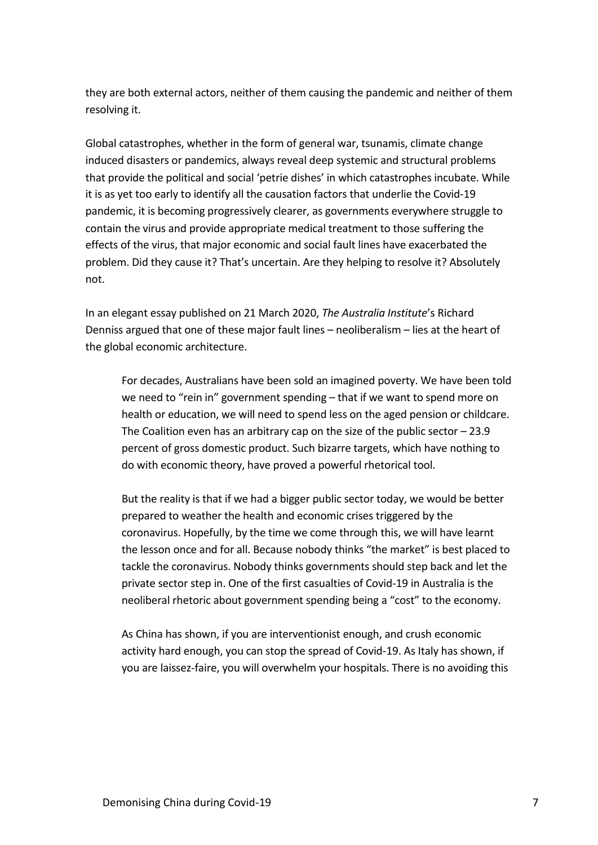they are both external actors, neither of them causing the pandemic and neither of them resolving it.

Global catastrophes, whether in the form of general war, tsunamis, climate change induced disasters or pandemics, always reveal deep systemic and structural problems that provide the political and social 'petrie dishes' in which catastrophes incubate. While it is as yet too early to identify all the causation factors that underlie the Covid-19 pandemic, it is becoming progressively clearer, as governments everywhere struggle to contain the virus and provide appropriate medical treatment to those suffering the effects of the virus, that major economic and social fault lines have exacerbated the problem. Did they cause it? That's uncertain. Are they helping to resolve it? Absolutely not.

In an elegant essay published on 21 March 2020, *The Australia Institute*'s Richard Denniss argued that one of these major fault lines – neoliberalism – lies at the heart of the global economic architecture.

For decades, Australians have been sold an imagined poverty. We have been told we need to "rein in" government spending – that if we want to spend more on health or education, we will need to spend less on the aged pension or childcare. The Coalition even has an arbitrary cap on the size of the public sector  $-23.9$ percent of gross domestic product. Such bizarre targets, which have nothing to do with economic theory, have proved a powerful rhetorical tool.

But the reality is that if we had a bigger public sector today, we would be better prepared to weather the health and economic crises triggered by the coronavirus. Hopefully, by the time we come through this, we will have learnt the lesson once and for all. Because nobody thinks "the market" is best placed to tackle the coronavirus. Nobody thinks governments should step back and let the private sector step in. One of the first casualties of Covid-19 in Australia is the neoliberal rhetoric about government spending being a "cost" to the economy.

As China has shown, if you are interventionist enough, and crush economic activity hard enough, you can stop the spread of Covid-19. As Italy has shown, if you are laissez-faire, you will overwhelm your hospitals. There is no avoiding this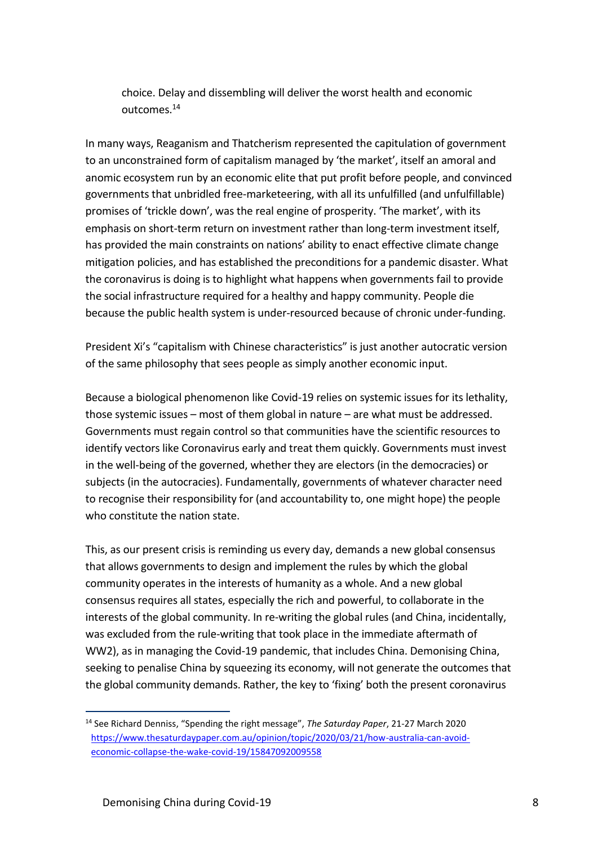choice. Delay and dissembling will deliver the worst health and economic outcomes. 14

In many ways, Reaganism and Thatcherism represented the capitulation of government to an unconstrained form of capitalism managed by 'the market', itself an amoral and anomic ecosystem run by an economic elite that put profit before people, and convinced governments that unbridled free-marketeering, with all its unfulfilled (and unfulfillable) promises of 'trickle down', was the real engine of prosperity. 'The market', with its emphasis on short-term return on investment rather than long-term investment itself, has provided the main constraints on nations' ability to enact effective climate change mitigation policies, and has established the preconditions for a pandemic disaster. What the coronavirus is doing is to highlight what happens when governments fail to provide the social infrastructure required for a healthy and happy community. People die because the public health system is under-resourced because of chronic under-funding.

President Xi's "capitalism with Chinese characteristics" is just another autocratic version of the same philosophy that sees people as simply another economic input.

Because a biological phenomenon like Covid-19 relies on systemic issues for its lethality, those systemic issues – most of them global in nature – are what must be addressed. Governments must regain control so that communities have the scientific resources to identify vectors like Coronavirus early and treat them quickly. Governments must invest in the well-being of the governed, whether they are electors (in the democracies) or subjects (in the autocracies). Fundamentally, governments of whatever character need to recognise their responsibility for (and accountability to, one might hope) the people who constitute the nation state.

This, as our present crisis is reminding us every day, demands a new global consensus that allows governments to design and implement the rules by which the global community operates in the interests of humanity as a whole. And a new global consensus requires all states, especially the rich and powerful, to collaborate in the interests of the global community. In re-writing the global rules (and China, incidentally, was excluded from the rule-writing that took place in the immediate aftermath of WW2), as in managing the Covid-19 pandemic, that includes China. Demonising China, seeking to penalise China by squeezing its economy, will not generate the outcomes that the global community demands. Rather, the key to 'fixing' both the present coronavirus

<sup>14</sup> See Richard Denniss, "Spending the right message", *The Saturday Paper*, 21-27 March 2020 [https://www.thesaturdaypaper.com.au/opinion/topic/2020/03/21/how-australia-can-avoid](https://www.thesaturdaypaper.com.au/opinion/topic/2020/03/21/how-australia-can-avoid-economic-collapse-the-wake-covid-19/15847092009558)[economic-collapse-the-wake-covid-19/15847092009558](https://www.thesaturdaypaper.com.au/opinion/topic/2020/03/21/how-australia-can-avoid-economic-collapse-the-wake-covid-19/15847092009558)